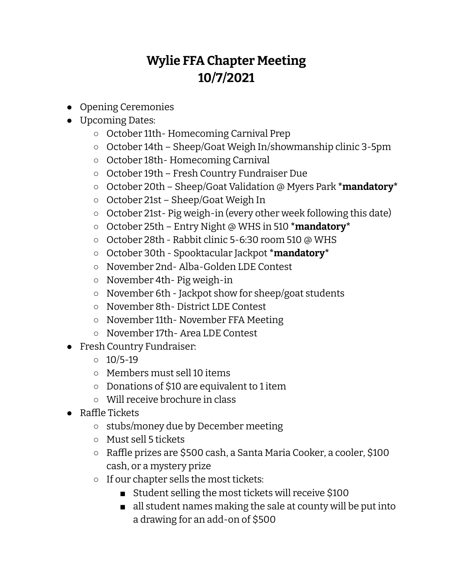## **Wylie FFA Chapter Meeting 10/7/2021**

- Opening Ceremonies
- Upcoming Dates:
	- October 11th- Homecoming Carnival Prep
	- October 14th Sheep/Goat Weigh In/showmanship clinic 3-5pm
	- October 18th- Homecoming Carnival
	- October 19th Fresh Country Fundraiser Due
	- October 20th Sheep/Goat Validation @ Myers Park **\*mandatory\***
	- October 21st Sheep/Goat Weigh In
	- October 21st- Pig weigh-in (every other week following this date)
	- October 25th Entry Night @ WHS in 510 **\*mandatory\***
	- October 28th Rabbit clinic 5-6:30 room 510 @ WHS
	- October 30th Spooktacular Jackpot **\*mandatory\***
	- November 2nd- Alba-Golden LDE Contest
	- November 4th- Pig weigh-in
	- November 6th Jackpot show for sheep/goat students
	- November 8th- District LDE Contest
	- November 11th- November FFA Meeting
	- November 17th- Area LDE Contest
- Fresh Country Fundraiser:
	- $0.10/5-19$
	- Members must sell 10 items
	- Donations of \$10 are equivalent to 1 item
	- Will receive brochure in class
- Raffle Tickets
	- stubs/money due by December meeting
	- Must sell 5 tickets
	- Raffle prizes are \$500 cash, a Santa Maria Cooker, a cooler, \$100 cash, or a mystery prize
	- If our chapter sells the most tickets:
		- Student selling the most tickets will receive \$100
		- all student names making the sale at county will be put into a drawing for an add-on of \$500